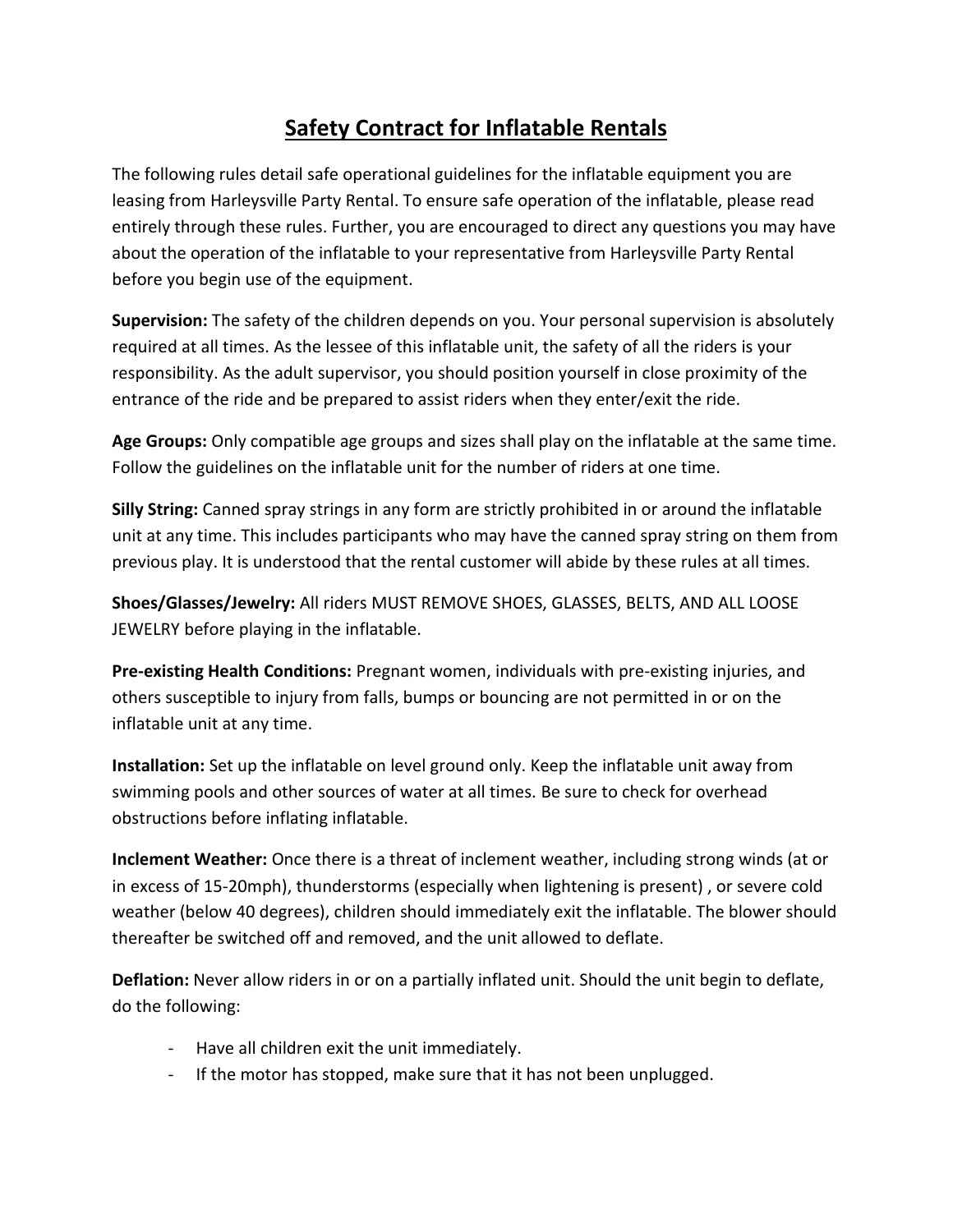## **Safety Contract for Inflatable Rentals**

The following rules detail safe operational guidelines for the inflatable equipment you are leasing from Harleysville Party Rental. To ensure safe operation of the inflatable, please read entirely through these rules. Further, you are encouraged to direct any questions you may have about the operation of the inflatable to your representative from Harleysville Party Rental before you begin use of the equipment.

**Supervision:** The safety of the children depends on you. Your personal supervision is absolutely required at all times. As the lessee of this inflatable unit, the safety of all the riders is your responsibility. As the adult supervisor, you should position yourself in close proximity of the entrance of the ride and be prepared to assist riders when they enter/exit the ride.

**Age Groups:** Only compatible age groups and sizes shall play on the inflatable at the same time. Follow the guidelines on the inflatable unit for the number of riders at one time.

**Silly String:** Canned spray strings in any form are strictly prohibited in or around the inflatable unit at any time. This includes participants who may have the canned spray string on them from previous play. It is understood that the rental customer will abide by these rules at all times.

**Shoes/Glasses/Jewelry:** All riders MUST REMOVE SHOES, GLASSES, BELTS, AND ALL LOOSE JEWELRY before playing in the inflatable.

**Pre-existing Health Conditions:** Pregnant women, individuals with pre-existing injuries, and others susceptible to injury from falls, bumps or bouncing are not permitted in or on the inflatable unit at any time.

**Installation:** Set up the inflatable on level ground only. Keep the inflatable unit away from swimming pools and other sources of water at all times. Be sure to check for overhead obstructions before inflating inflatable.

**Inclement Weather:** Once there is a threat of inclement weather, including strong winds (at or in excess of 15-20mph), thunderstorms (especially when lightening is present) , or severe cold weather (below 40 degrees), children should immediately exit the inflatable. The blower should thereafter be switched off and removed, and the unit allowed to deflate.

**Deflation:** Never allow riders in or on a partially inflated unit. Should the unit begin to deflate, do the following:

- Have all children exit the unit immediately.
- If the motor has stopped, make sure that it has not been unplugged.